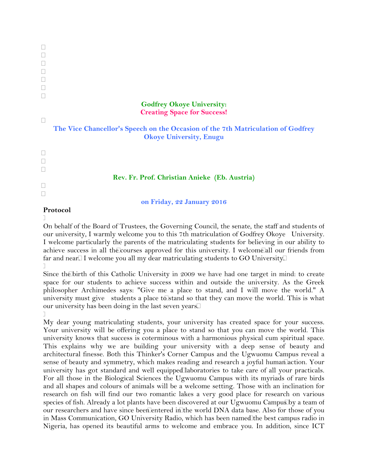# **Godfrey Okoye University: Creating Space for Success!**

| The Vice Chancellor's Speech on the Occasion of the 7th Matriculation of Godfrey |  |
|----------------------------------------------------------------------------------|--|
| <b>Okoye University, Enugu</b>                                                   |  |

### **Rev. Fr. Prof. Christian Anieke (Eb. Austria)**

**on Friday, 22 January 2016**

#### **Protocol**

 $\Box$ 

  $\Box$  $\Box$ 

 $\Box$ 

 $\Box$  $\Box$ 

> On behalf of the Board of Trustees, the Governing Council, the senate, the staff and students of our university, I warmly welcome you to this 7th matriculation of Godfrey Okoye University. I welcome particularly the parents of the matriculating students for believing in our ability to achieve success in all the courses approved for this university. I welcome all our friends from far and near. I welcome you all my dear matriculating students to GO University.

٦

Since the birth of this Catholic University in 2009 we have had one target in mind: to create space for our students to achieve success within and outside the university. As the Greek philosopher Archimedes says: "Give me a place to stand, and I will move the world." A university must give students a place to stand so that they can move the world. This is what our university has been doing in the last seven years.  $\Box$ 

My dear young matriculating students, your university has created space for your success. Your university will be offering you a place to stand so that you can move the world. This university knows that success is coterminous with a harmonious physical cum spiritual space. This explains why we are building your university with a deep sense of beauty and architectural finesse. Both this Thinker's Corner Campus and the Ugwuomu Campus reveal a sense of beauty and symmetry, which makes reading and research a joyful human action. Your university has got standard and well equipped laboratories to take care of all your practicals. For all those in the Biological Sciences the Ugwuomu Campus with its myriads of rare birds and all shapes and colours of animals will be a welcome setting. Those with an inclination for research on fish will find our two romantic lakes a very good place for research on various species of fish. Already a lot plants have been discovered at our Ugwuomu Campus by a team of our researchers and have since been entered in the world DNA data base. Also for those of you in Mass Communication, GO University Radio, which has been named the best campus radio in Nigeria, has opened its beautiful arms to welcome and embrace you. In addition, since ICT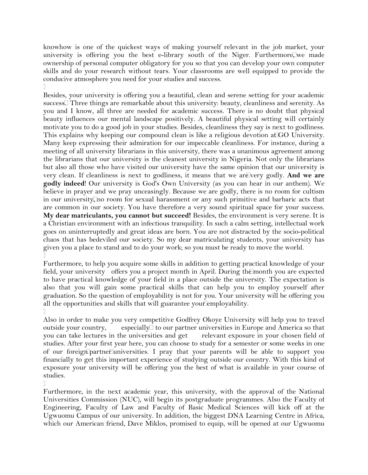knowhow is one of the quickest ways of making yourself relevant in the job market, your university is offering you the best e-library south of the Niger. Furthermore, we made ownership of personal computer obligatory for you so that you can develop your own computer skills and do your research without tears. Your classrooms are well equipped to provide the conducive atmosphere you need for your studies and success.  $\Box$ 

Besides, your university is offering you a beautiful, clean and serene setting for your academic success. Three things are remarkable about this university: beauty, cleanliness and serenity. As you and I know, all three are needed for academic success. There is no doubt that physical beauty influences our mental landscape positively. A beautiful physical setting will certainly motivate you to do a good job in your studies. Besides, cleanliness they say is next to godliness. This explains why keeping our compound clean is like a religious devotion at GO University. Many keep expressing their admiration for our impeccable cleanliness. For instance, during a meeting of all university librarians in this university, there was a unanimous agreement among the librarians that our university is the cleanest university in Nigeria. Not only the librarians but also all those who have visited our university have the same opinion that our university is very clean. If cleanliness is next to godliness, it means that we are very godly. And we are **godly indeed**! Our university is God's Own University (as you can hear in our anthem). We believe in prayer and we pray unceasingly. Because we are godly, there is no room for cultism in our university, no room for sexual harassment or any such primitive and barbaric acts that are common in our society. You have therefore a very sound spiritual space for your success. **My dear matriculants, you cannot but succeed!** Besides, the environment is very serene. It is a Christian environment with an infectious tranquility. In such a calm setting, intellectual work goes on uninterruptedly and great ideas are born. You are not distracted by the socio-political chaos that has bedeviled our society. So my dear matriculating students, your university has given you a place to stand and to do your work; so you must be ready to move the world.  $\Box$ 

Furthermore, to help you acquire some skills in addition to getting practical knowledge of your field, your university offers you a project month in April. During the month you are expected to have practical knowledge of your field in a place outside the university. The expectation is also that you will gain some practical skills that can help you to employ yourself after graduation. So the question of employability is not for you. Your university will be offering you all the opportunities and skills that will guarantee your employability.  $\Box$ 

Also in order to make you very competitive Godfrey Okoye University will help you to travel outside your country, especially  $\Box$  to our partner universities in Europe and America so that you can take lectures in the universities and get relevant exposure in your chosen field of studies. After your first year here, you can choose to study for a semester or some weeks in one of our foreign partner universities. I pray that your parents will be able to support you financially to get this important experience of studying outside our country. With this kind of exposure your university will be offering you the best of what is available in your course of studies.

Furthermore, in the next academic year, this university, with the approval of the National Universities Commission (NUC), will begin its postgraduate programmes. Also the Faculty of Engineering, Faculty of Law and Faculty of Basic Medical Sciences will kick off at the Ugwuomu Campus of our university. In addition, the biggest DNA Learning Centre in Africa, which our American friend, Dave Miklos, promised to equip, will be opened at our Ugwuomu

 $\Box$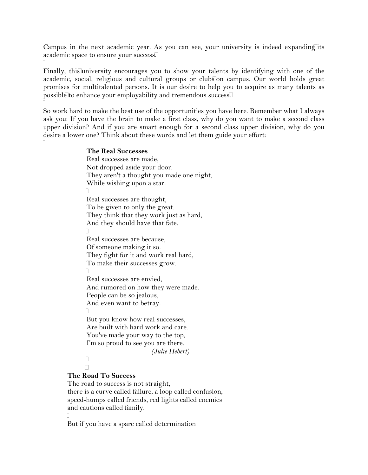Campus in the next academic year. As you can see, your university is indeed expanding its academic space to ensure your success.

 $\Box$ Finally, this university encourages you to show your talents by identifying with one of the academic, social, religious and cultural groups or clubs on campus. Our world holds great promises for multitalented persons. It is our desire to help you to acquire as many talents as possible to enhance your employability and tremendous success.

 $\Box$ So work hard to make the best use of the opportunities you have here. Remember what I always ask you: If you have the brain to make a first class, why do you want to make a second class upper division? And if you are smart enough for a second class upper division, why do you desire a lower one? Think about these words and let them guide your effort:

 $\top$ 

## **The Real Successes**

Real successes are made, Not dropped aside your door. They aren't a thought you made one night, While wishing upon a star.  $\Box$ Real successes are thought, To be given to only the great. They think that they work just as hard, And they should have that fate.  $\Box$ Real successes are because, Of someone making it so. They fight for it and work real hard, To make their successes grow.  $\Box$ Real successes are envied, And rumored on how they were made. People can be so jealous, And even want to betray.  $\Box$ But you know how real successes, Are built with hard work and care. You've made your way to the top, I'm so proud to see you are there. *(Julie Hebert)*  $\Box$  $\Box$ 

## **The Road To Success**

The road to success is not straight, there is a curve called failure, a loop called confusion, speed-humps called friends, red lights called enemies and cautions called family.  $\Box$ 

But if you have a spare called determination